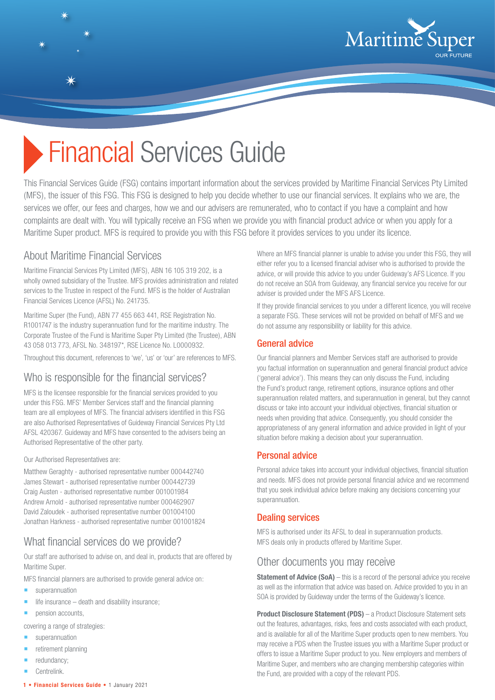

# **Financial Services Guide**

This Financial Services Guide (FSG) contains important information about the services provided by Maritime Financial Services Pty Limited (MFS), the issuer of this FSG. This FSG is designed to help you decide whether to use our financial services. It explains who we are, the services we offer, our fees and charges, how we and our advisers are remunerated, who to contact if you have a complaint and how complaints are dealt with. You will typically receive an FSG when we provide you with financial product advice or when you apply for a Maritime Super product. MFS is required to provide you with this FSG before it provides services to you under its licence.

## About Maritime Financial Services

Maritime Financial Services Pty Limited (MFS), ABN 16 105 319 202, is a wholly owned subsidiary of the Trustee. MFS provides administration and related services to the Trustee in respect of the Fund. MFS is the holder of Australian Financial Services Licence (AFSL) No. 241735.

Maritime Super (the Fund), ABN 77 455 663 441, RSE Registration No. R1001747 is the industry superannuation fund for the maritime industry. The Corporate Trustee of the Fund is Maritime Super Pty Limited (the Trustee), ABN 43 058 013 773, AFSL No. 348197\*, RSE Licence No. L0000932.

Throughout this document, references to 'we', 'us' or 'our' are references to MFS.

## Who is responsible for the financial services?

MFS is the licensee responsible for the financial services provided to you under this FSG. MFS' Member Services staff and the financial planning team are all employees of MFS. The financial advisers identified in this FSG are also Authorised Representatives of Guideway Financial Services Pty Ltd AFSL 420367. Guideway and MFS have consented to the advisers being an Authorised Representative of the other party.

#### Our Authorised Representatives are:

Matthew Geraghty - authorised representative number 000442740 James Stewart - authorised representative number 000442739 Craig Austen - authorised representative number 001001984 Andrew Arnold - authorised representative number 000462907 David Zaloudek - authorised representative number 001004100 Jonathan Harkness - authorised representative number 001001824

## What financial services do we provide?

Our staff are authorised to advise on, and deal in, products that are offered by Maritime Super.

MFS financial planners are authorised to provide general advice on:

- **superannuation**
- life insurance death and disability insurance;
- pension accounts,

covering a range of strategies:

- superannuation
- retirement planning
- redundancy;
- Centrelink.
- **1 Financial Services Guide**  1 January 2021

Where an MFS financial planner is unable to advise you under this FSG, they will either refer you to a licensed financial adviser who is authorised to provide the advice, or will provide this advice to you under Guideway's AFS Licence. If you do not receive an SOA from Guideway, any financial service you receive for our adviser is provided under the MFS AFS Licence.

If they provide financial services to you under a different licence, you will receive a separate FSG. These services will not be provided on behalf of MFS and we do not assume any responsibility or liability for this advice.

#### General advice

Our financial planners and Member Services staff are authorised to provide you factual information on superannuation and general financial product advice ('general advice'). This means they can only discuss the Fund, including the Fund's product range, retirement options, insurance options and other superannuation related matters, and superannuation in general, but they cannot discuss or take into account your individual objectives, financial situation or needs when providing that advice. Consequently, you should consider the appropriateness of any general information and advice provided in light of your situation before making a decision about your superannuation.

#### Personal advice

Personal advice takes into account your individual objectives, financial situation and needs. MFS does not provide personal financial advice and we recommend that you seek individual advice before making any decisions concerning your superannuation.

#### Dealing services

MFS is authorised under its AFSL to deal in superannuation products. MFS deals only in products offered by Maritime Super.

#### Other documents you may receive

**Statement of Advice (SoA)** – this is a record of the personal advice you receive as well as the information that advice was based on. Advice provided to you in an SOA is provided by Guideway under the terms of the Guideway's licence.

**Product Disclosure Statement (PDS)** – a Product Disclosure Statement sets out the features, advantages, risks, fees and costs associated with each product, and is available for all of the Maritime Super products open to new members. You may receive a PDS when the Trustee issues you with a Maritime Super product or offers to issue a Maritime Super product to you. New employers and members of Maritime Super, and members who are changing membership categories within the Fund, are provided with a copy of the relevant PDS.